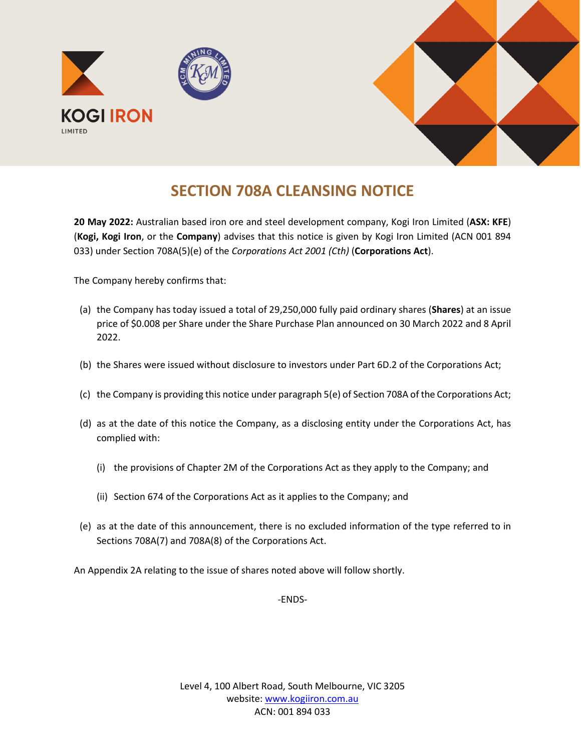

## **SECTION 708A CLEANSING NOTICE**

**20 May 2022:** Australian based iron ore and steel development company, Kogi Iron Limited (**ASX: KFE**) (**Kogi, Kogi Iron**, or the **Company**) advises that this notice is given by Kogi Iron Limited (ACN 001 894 033) under Section 708A(5)(e) of the *Corporations Act 2001 (Cth)* (**Corporations Act**).

The Company hereby confirms that:

- (a) the Company has today issued a total of 29,250,000 fully paid ordinary shares (**Shares**) at an issue price of \$0.008 per Share under the Share Purchase Plan announced on 30 March 2022 and 8 April 2022.
- (b) the Shares were issued without disclosure to investors under Part 6D.2 of the Corporations Act;
- (c) the Company is providing this notice under paragraph 5(e) of Section 708A of the Corporations Act;
- (d) as at the date of this notice the Company, as a disclosing entity under the Corporations Act, has complied with:
	- (i) the provisions of Chapter 2M of the Corporations Act as they apply to the Company; and
	- (ii) Section 674 of the Corporations Act as it applies to the Company; and
- (e) as at the date of this announcement, there is no excluded information of the type referred to in Sections 708A(7) and 708A(8) of the Corporations Act.

An Appendix 2A relating to the issue of shares noted above will follow shortly.

-ENDS-